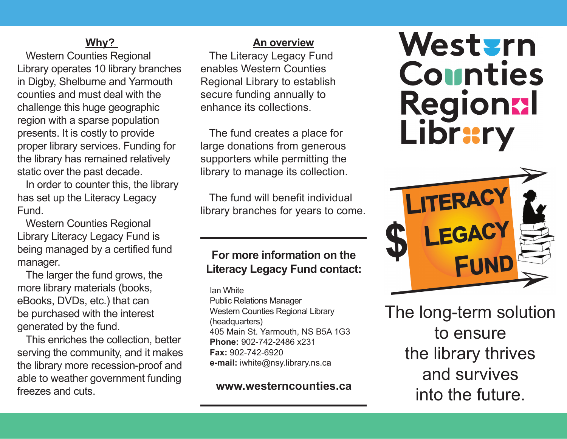#### **Why?**

Western Counties Regional Library operates 10 library branches in Digby, Shelburne and Yarmouth counties and must deal with the challenge this huge geographic region with a sparse population presents. It is costly to provide proper library services. Funding for the library has remained relatively static over the past decade.

In order to counter this, the library has set up the Literacy Legacy Fund.

Western Counties Regional Library Literacy Legacy Fund is being managed by a certified fund manager.

The larger the fund grows, the more library materials (books, eBooks, DVDs, etc.) that can be purchased with the interest generated by the fund.

This enriches the collection, better serving the community, and it makes the library more recession-proof and able to weather government funding freezes and cuts.

#### **An overview**

The Literacy Legacy Fund enables Western Counties Regional Library to establish secure funding annually to enhance its collections.

The fund creates a place for large donations from generous supporters while permitting the library to manage its collection.

The fund will benefit individual library branches for years to come.

## **For more information on the Literacy Legacy Fund contact:**

Ian White Public Relations Manager Western Counties Regional Library (headquarters) 405 Main St. Yarmouth, NS B5A 1G3 **Phone:** 902-742-2486 x231 **Fax:** 902-742-6920 **e-mail:** iwhite@nsy.library.ns.ca

**www.westerncounties.ca**

# Western Counties Regional Library



The long-term solution to ensure the library thrives and survives into the future.